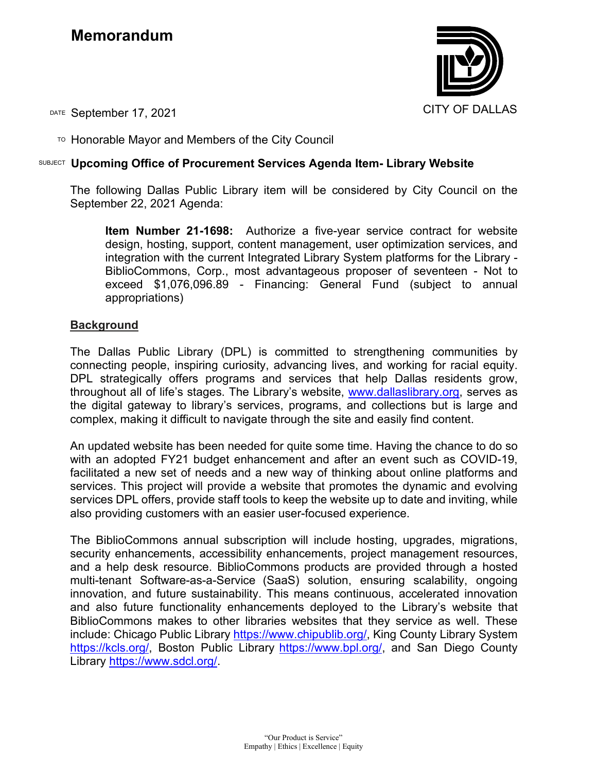## **Memorandum**



DATE September 17, 2021 CITY OF DALLAS

TO Honorable Mayor and Members of the City Council

## SUBJECT **Upcoming Office of Procurement Services Agenda Item- Library Website**

The following Dallas Public Library item will be considered by City Council on the September 22, 2021 Agenda:

**Item Number 21-1698:** Authorize a five-year service contract for website design, hosting, support, content management, user optimization services, and integration with the current Integrated Library System platforms for the Library - BiblioCommons, Corp., most advantageous proposer of seventeen - Not to exceed \$1,076,096.89 - Financing: General Fund (subject to annual appropriations)

## **Background**

The Dallas Public Library (DPL) is committed to strengthening communities by connecting people, inspiring curiosity, advancing lives, and working for racial equity. DPL strategically offers programs and services that help Dallas residents grow, throughout all of life's stages. The Library's website, www.dallaslibrary.org, serves as the digital gateway to library's services, programs, and collections but is large and complex, making it difficult to navigate through the site and easily find content.

An updated website has been needed for quite some time. Having the chance to do so with an adopted FY21 budget enhancement and after an event such as COVID-19, facilitated a new set of needs and a new way of thinking about online platforms and services. This project will provide a website that promotes the dynamic and evolving services DPL offers, provide staff tools to keep the website up to date and inviting, while also providing customers with an easier user-focused experience.

The BiblioCommons annual subscription will include hosting, upgrades, migrations, security enhancements, accessibility enhancements, project management resources, and a help desk resource. BiblioCommons products are provided through a hosted multi-tenant Software-as-a-Service (SaaS) solution, ensuring scalability, ongoing innovation, and future sustainability. This means continuous, accelerated innovation and also future functionality enhancements deployed to the Library's website that BiblioCommons makes to other libraries websites that they service as well. These include: Chicago Public Library [https://www.chipublib.org/,](https://www.chipublib.org/) King County Library System [https://kcls.org/,](https://kcls.org/) Boston Public Library [https://www.bpl.org/,](https://www.bpl.org/) and San Diego County Library [https://www.sdcl.org/.](https://www.sdcl.org/)